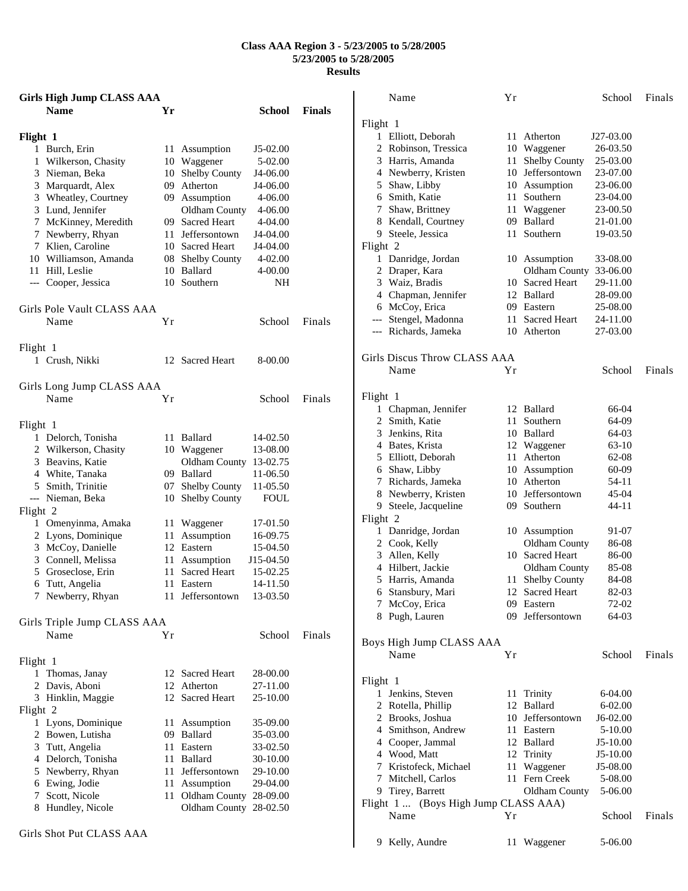## **Class AAA Region 3 - 5/23/2005 to 5/28/2005 5/23/2005 to 5/28/2005 Results**

| <b>Girls High Jump CLASS AAA</b>           |          |                                      |             |               | Name                                       | Yr |                      | School      | Finals |
|--------------------------------------------|----------|--------------------------------------|-------------|---------------|--------------------------------------------|----|----------------------|-------------|--------|
| <b>Name</b>                                | Yr       |                                      | School      | <b>Finals</b> |                                            |    |                      |             |        |
|                                            |          |                                      |             |               | Flight 1                                   |    | 11 Atherton          | J27-03.00   |        |
| Flight 1<br>1 Burch, Erin                  |          |                                      | $J5-02.00$  |               | 1 Elliott, Deborah<br>2 Robinson, Tressica |    | 10 Waggener          | 26-03.50    |        |
|                                            |          | 11 Assumption                        | 5-02.00     |               | 3<br>Harris, Amanda                        | 11 | <b>Shelby County</b> | 25-03.00    |        |
| 1 Wilkerson, Chasity<br>3 Nieman, Beka     | 10       | Waggener<br><b>Shelby County</b>     | J4-06.00    |               | 4 Newberry, Kristen                        |    | 10 Jeffersontown     | 23-07.00    |        |
| 3                                          | 10<br>09 | Atherton                             | J4-06.00    |               | 5 Shaw, Libby                              |    | 10 Assumption        | 23-06.00    |        |
| Marquardt, Alex<br>Wheatley, Courtney<br>3 |          | 09 Assumption                        | 4-06.00     |               | Smith, Katie<br>6                          | 11 | Southern             | 23-04.00    |        |
| 3 Lund, Jennifer                           |          | Oldham County                        | 4-06.00     |               | Shaw, Brittney<br>7                        | 11 | Waggener             | 23-00.50    |        |
| McKinney, Meredith<br>7                    |          | 09 Sacred Heart                      | 4-04.00     |               | 8<br>Kendall, Courtney                     |    | 09 Ballard           | 21-01.00    |        |
| 7 Newberry, Rhyan                          | 11       | Jeffersontown                        | J4-04.00    |               | 9 Steele, Jessica                          |    | 11 Southern          | 19-03.50    |        |
| Klien, Caroline                            |          | 10 Sacred Heart                      | J4-04.00    |               | Flight 2                                   |    |                      |             |        |
| 10 Williamson, Amanda                      | 08       | <b>Shelby County</b>                 | $4 - 02.00$ |               | 1 Danridge, Jordan                         |    | 10 Assumption        | 33-08.00    |        |
| 11 Hill, Leslie                            | 10       | Ballard                              | 4-00.00     |               | 2 Draper, Kara                             |    | Oldham County        | 33-06.00    |        |
| --- Cooper, Jessica                        |          | 10 Southern                          | NH          |               | Waiz, Bradis<br>3                          |    | 10 Sacred Heart      | 29-11.00    |        |
|                                            |          |                                      |             |               | Chapman, Jennifer<br>4                     |    | 12 Ballard           | 28-09.00    |        |
| Girls Pole Vault CLASS AAA                 |          |                                      |             |               | McCoy, Erica<br>6                          |    | 09 Eastern           | 25-08.00    |        |
| Name                                       | Yr       |                                      | School      | Finals        | Stengel, Madonna                           | 11 | Sacred Heart         | 24-11.00    |        |
|                                            |          |                                      |             |               | Richards, Jameka<br>$\hspace{0.05cm}---$   |    | 10 Atherton          | 27-03.00    |        |
|                                            |          |                                      |             |               |                                            |    |                      |             |        |
| Flight 1<br>1 Crush, Nikki                 |          | 12 Sacred Heart                      | 8-00.00     |               | Girls Discus Throw CLASS AAA               |    |                      |             |        |
|                                            |          |                                      |             |               | Name                                       | Υr |                      | School      | Finals |
|                                            |          |                                      |             |               |                                            |    |                      |             |        |
| Girls Long Jump CLASS AAA<br>Name          | Yr       |                                      | School      | Finals        | Flight 1                                   |    |                      |             |        |
|                                            |          |                                      |             |               | 1 Chapman, Jennifer                        |    | 12 Ballard           | 66-04       |        |
|                                            |          |                                      |             |               | 2 Smith, Katie                             | 11 | Southern             | 64-09       |        |
| Flight 1                                   |          |                                      |             |               | Jenkins, Rita<br>3                         |    | 10 Ballard           | 64-03       |        |
| 1 Delorch, Tonisha                         |          | 11 Ballard                           | 14-02.50    |               | Bates, Krista<br>4                         |    | 12 Waggener          | 63-10       |        |
| 2 Wilkerson, Chasity                       |          | 10 Waggener                          | 13-08.00    |               | 5 Elliott, Deborah                         |    | 11 Atherton          | 62-08       |        |
| Beavins, Katie<br>3<br>White, Tanaka<br>4  |          | Oldham County 13-02.75<br>09 Ballard | 11-06.50    |               | Shaw, Libby<br>6                           |    | 10 Assumption        | 60-09       |        |
| 5<br>Smith, Trinitie                       | 07       | <b>Shelby County</b>                 | 11-05.50    |               | Richards, Jameka<br>7                      | 10 | Atherton             | 54-11       |        |
| --- Nieman, Beka                           |          | 10 Shelby County                     | <b>FOUL</b> |               | Newberry, Kristen<br>8                     |    | 10 Jeffersontown     | 45-04       |        |
| Flight 2                                   |          |                                      |             |               | 9 Steele, Jacqueline                       |    | 09 Southern          | 44-11       |        |
| 1 Omenyinma, Amaka                         |          | 11 Waggener                          | 17-01.50    |               | Flight 2                                   |    |                      |             |        |
| 2 Lyons, Dominique                         |          | 11 Assumption                        | 16-09.75    |               | 1 Danridge, Jordan                         |    | 10 Assumption        | 91-07       |        |
| 3 McCoy, Danielle                          |          | 12 Eastern                           | 15-04.50    |               | Cook, Kelly<br>2                           |    | Oldham County        | 86-08       |        |
| Connell, Melissa<br>3                      | 11       | Assumption                           | J15-04.50   |               | 3<br>Allen, Kelly                          |    | 10 Sacred Heart      | 86-00       |        |
| Groseclose, Erin<br>5                      |          | 11 Sacred Heart                      | 15-02.25    |               | Hilbert, Jackie<br>4                       |    | Oldham County        | 85-08       |        |
| 6<br>Tutt, Angelia                         |          | 11 Eastern                           | 14-11.50    |               | 5 Harris, Amanda                           |    | 11 Shelby County     | 84-08       |        |
| 7 Newberry, Rhyan                          |          | 11 Jeffersontown                     | 13-03.50    |               | 6 Stansbury, Mari                          |    | 12 Sacred Heart      | 82-03       |        |
|                                            |          |                                      |             |               | 7 McCoy, Erica                             |    | 09 Eastern           | 72-02       |        |
| Girls Triple Jump CLASS AAA                |          |                                      |             |               | 8 Pugh, Lauren                             |    | 09 Jeffersontown     | 64-03       |        |
| Name                                       | Yr       |                                      | School      | Finals        |                                            |    |                      |             |        |
|                                            |          |                                      |             |               | Boys High Jump CLASS AAA                   |    |                      |             |        |
| Flight 1                                   |          |                                      |             |               | Name                                       | Yr |                      | School      | Finals |
| 1 Thomas, Janay                            |          | 12 Sacred Heart                      | 28-00.00    |               |                                            |    |                      |             |        |
| 2 Davis, Aboni                             |          | 12 Atherton                          | 27-11.00    |               | Flight 1                                   |    |                      |             |        |
| 3 Hinklin, Maggie                          |          | 12 Sacred Heart                      | 25-10.00    |               | 1 Jenkins, Steven                          |    | 11 Trinity           | 6-04.00     |        |
| Flight 2                                   |          |                                      |             |               | 2 Rotella, Phillip                         |    | 12 Ballard           | 6-02.00     |        |
| 1 Lyons, Dominique                         |          | 11 Assumption                        | 35-09.00    |               | 2 Brooks, Joshua                           |    | 10 Jeffersontown     | J6-02.00    |        |
| 2 Bowen, Lutisha                           |          | 09 Ballard                           | 35-03.00    |               | Smithson, Andrew<br>4                      |    | 11 Eastern           | $5 - 10.00$ |        |
| 3 Tutt, Angelia                            |          | 11 Eastern                           | 33-02.50    |               | Cooper, Jammal<br>4                        |    | 12 Ballard           | $J5-10.00$  |        |
| 4 Delorch, Tonisha                         | 11.      | Ballard                              | 30-10.00    |               | 4 Wood, Matt                               |    | 12 Trinity           | $J5-10.00$  |        |
| 5 Newberry, Rhyan                          | 11       | Jeffersontown                        | 29-10.00    |               | 7 Kristofeck, Michael                      |    | 11 Waggener          | J5-08.00    |        |
| 6 Ewing, Jodie                             |          | 11 Assumption                        | 29-04.00    |               | 7 Mitchell, Carlos                         |    | 11 Fern Creek        | 5-08.00     |        |
| 7 Scott, Nicole                            |          | 11 Oldham County 28-09.00            |             |               | 9 Tirey, Barrett                           |    | Oldham County        | 5-06.00     |        |
| 8 Hundley, Nicole                          |          | Oldham County 28-02.50               |             |               | Flight 1  (Boys High Jump CLASS AAA)       |    |                      |             |        |
|                                            |          |                                      |             |               | Name                                       | Yr |                      | School      | Finals |
| Girls Shot Put CLASS AAA                   |          |                                      |             |               |                                            |    |                      |             |        |
|                                            |          |                                      |             |               | 9 Kelly, Aundre                            |    | 11 Waggener          | 5-06.00     |        |